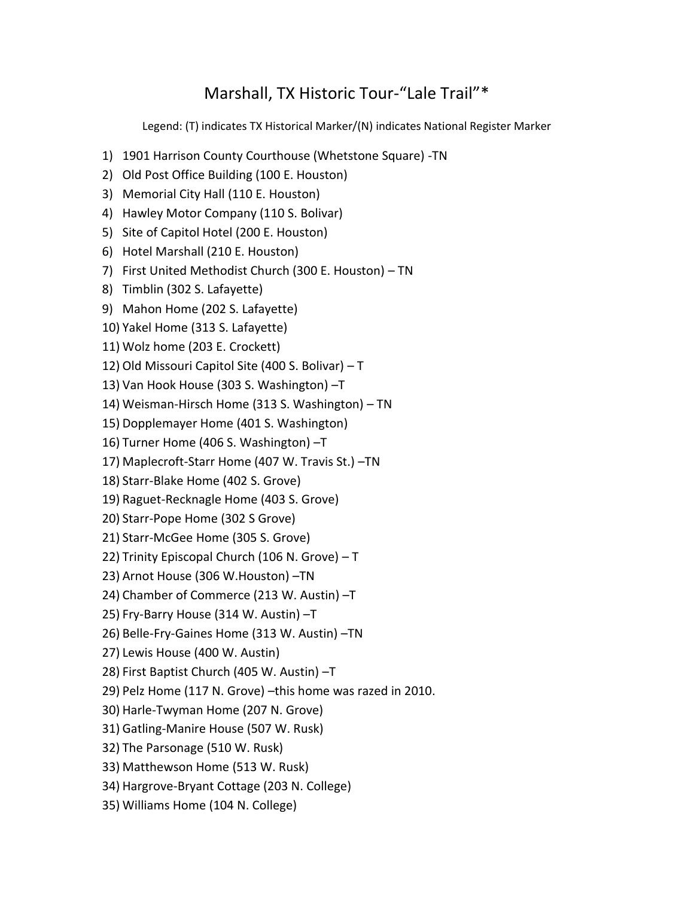## Marshall, TX Historic Tour-"Lale Trail"\*

Legend: (T) indicates TX Historical Marker/(N) indicates National Register Marker

- 1) 1901 Harrison County Courthouse (Whetstone Square) -TN
- 2) Old Post Office Building (100 E. Houston)
- 3) Memorial City Hall (110 E. Houston)
- 4) Hawley Motor Company (110 S. Bolivar)
- 5) Site of Capitol Hotel (200 E. Houston)
- 6) Hotel Marshall (210 E. Houston)
- 7) First United Methodist Church (300 E. Houston) TN
- 8) Timblin (302 S. Lafayette)
- 9) Mahon Home (202 S. Lafayette)
- 10) Yakel Home (313 S. Lafayette)
- 11) Wolz home (203 E. Crockett)
- 12) Old Missouri Capitol Site (400 S. Bolivar) T
- 13) Van Hook House (303 S. Washington) –T
- 14) Weisman-Hirsch Home (313 S. Washington) TN
- 15) Dopplemayer Home (401 S. Washington)
- 16) Turner Home (406 S. Washington) –T
- 17) Maplecroft-Starr Home (407 W. Travis St.) –TN
- 18) Starr-Blake Home (402 S. Grove)
- 19) Raguet-Recknagle Home (403 S. Grove)
- 20) Starr-Pope Home (302 S Grove)
- 21) Starr-McGee Home (305 S. Grove)
- 22) Trinity Episcopal Church (106 N. Grove) T
- 23) Arnot House (306 W.Houston) –TN
- 24) Chamber of Commerce (213 W. Austin) –T
- 25) Fry-Barry House (314 W. Austin) –T
- 26) Belle-Fry-Gaines Home (313 W. Austin) –TN
- 27) Lewis House (400 W. Austin)
- 28) First Baptist Church (405 W. Austin) –T
- 29) Pelz Home (117 N. Grove) –this home was razed in 2010.
- 30) Harle-Twyman Home (207 N. Grove)
- 31) Gatling-Manire House (507 W. Rusk)
- 32) The Parsonage (510 W. Rusk)
- 33) Matthewson Home (513 W. Rusk)
- 34) Hargrove-Bryant Cottage (203 N. College)
- 35) Williams Home (104 N. College)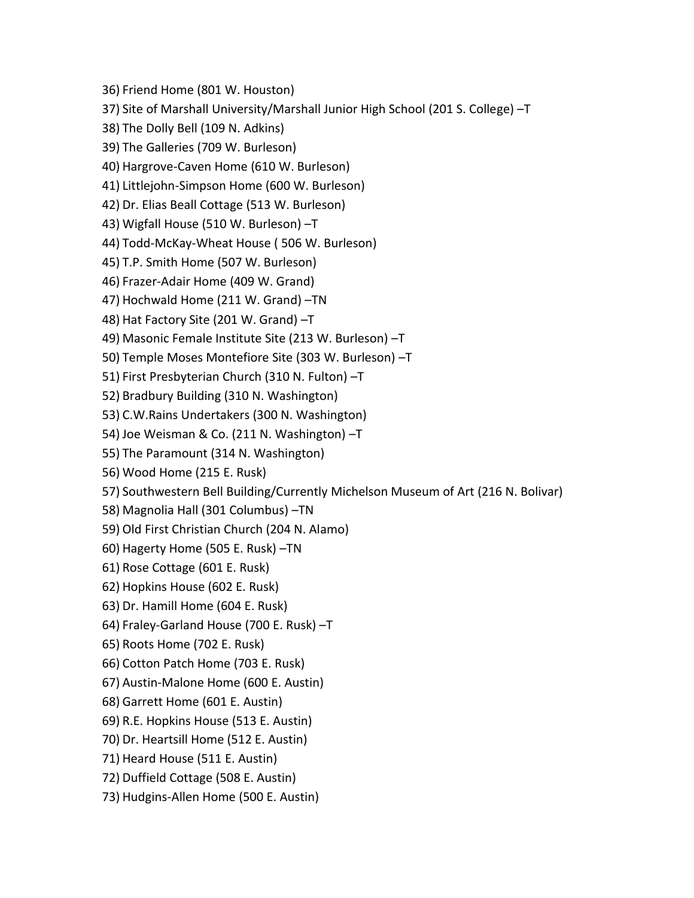36) Friend Home (801 W. Houston) 37) Site of Marshall University/Marshall Junior High School (201 S. College) –T

38) The Dolly Bell (109 N. Adkins)

39) The Galleries (709 W. Burleson)

40) Hargrove-Caven Home (610 W. Burleson)

41) Littlejohn-Simpson Home (600 W. Burleson)

42) Dr. Elias Beall Cottage (513 W. Burleson)

43) Wigfall House (510 W. Burleson) –T

44) Todd-McKay-Wheat House ( 506 W. Burleson)

45) T.P. Smith Home (507 W. Burleson)

46) Frazer-Adair Home (409 W. Grand)

47) Hochwald Home (211 W. Grand) –TN

48) Hat Factory Site (201 W. Grand) –T

49) Masonic Female Institute Site (213 W. Burleson) –T

50) Temple Moses Montefiore Site (303 W. Burleson) –T

51) First Presbyterian Church (310 N. Fulton) –T

52) Bradbury Building (310 N. Washington)

53) C.W.Rains Undertakers (300 N. Washington)

54) Joe Weisman & Co. (211 N. Washington) –T

55) The Paramount (314 N. Washington)

56) Wood Home (215 E. Rusk)

57) Southwestern Bell Building/Currently Michelson Museum of Art (216 N. Bolivar)

58) Magnolia Hall (301 Columbus) –TN

59) Old First Christian Church (204 N. Alamo)

60) Hagerty Home (505 E. Rusk) –TN

61) Rose Cottage (601 E. Rusk)

62) Hopkins House (602 E. Rusk)

63) Dr. Hamill Home (604 E. Rusk)

64) Fraley-Garland House (700 E. Rusk) –T

65) Roots Home (702 E. Rusk)

66) Cotton Patch Home (703 E. Rusk)

67) Austin-Malone Home (600 E. Austin)

68) Garrett Home (601 E. Austin)

69) R.E. Hopkins House (513 E. Austin)

70) Dr. Heartsill Home (512 E. Austin)

71) Heard House (511 E. Austin)

72) Duffield Cottage (508 E. Austin)

73) Hudgins-Allen Home (500 E. Austin)